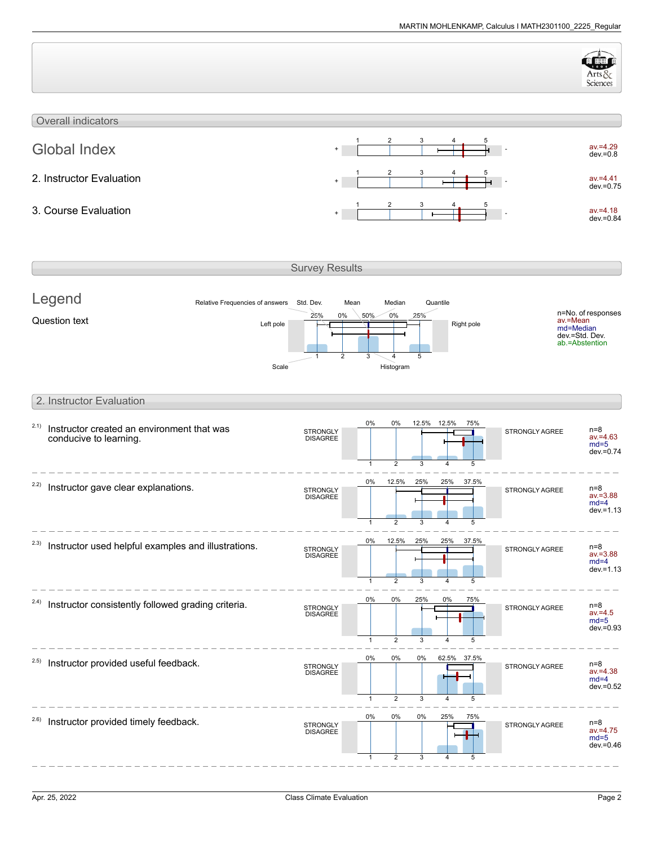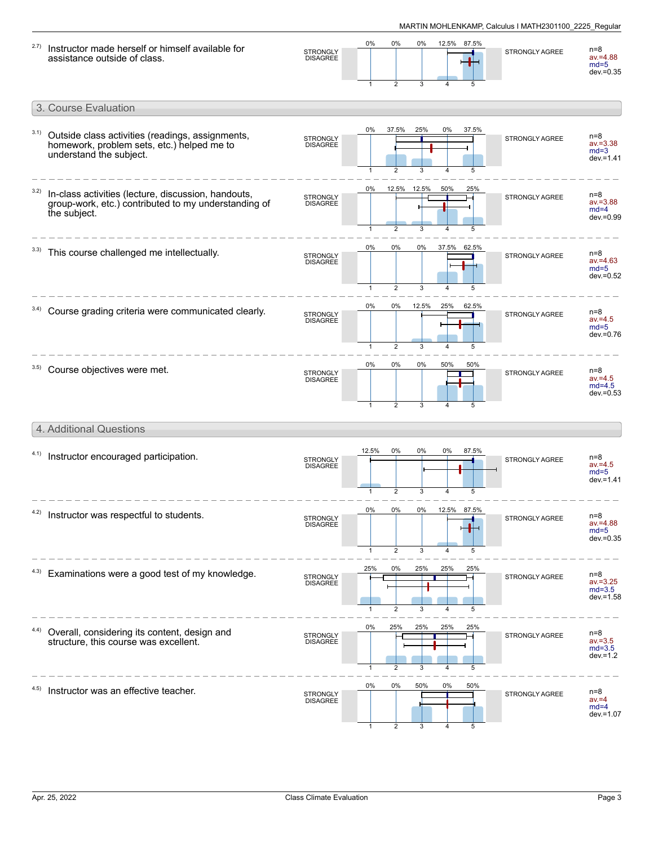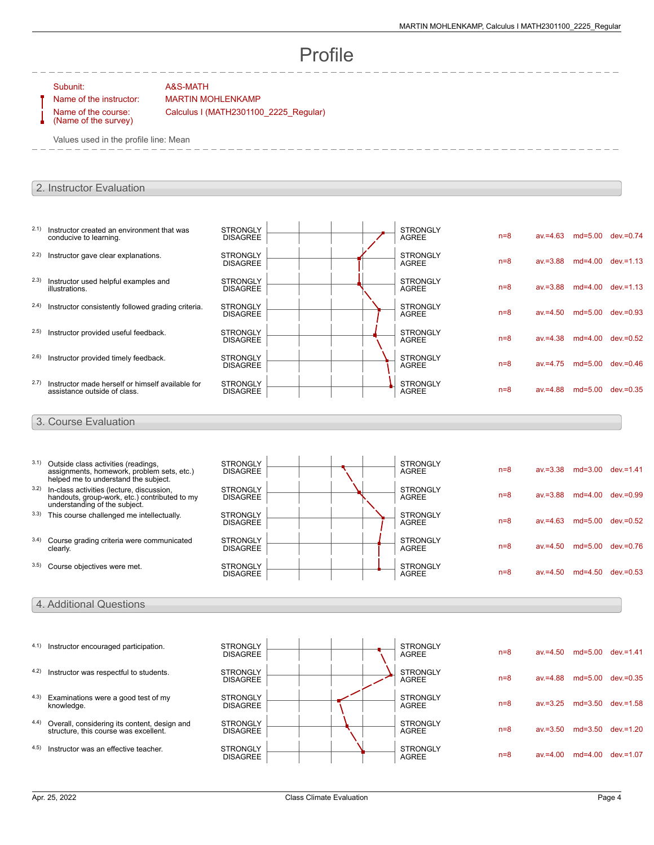# Profile

### Subunit: A&S-MATH

Name of the course: (Name of the survey)

Name of the instructor: MARTIN MOHLENKAMP

Calculus I (MATH2301100\_2225\_Regular)

Values used in the profile line: Mean

## 2. Instructor Evaluation

| 2.1) | Instructor created an environment that was<br>conducive to learning.                                                        | <b>STRONGLY</b><br><b>DISAGREE</b> |  |  | <b>STRONGLY</b><br><b>AGREE</b> | $n=8$ | $av = 4.63$ | $md=5.00$ dev.=0.74 |                       |
|------|-----------------------------------------------------------------------------------------------------------------------------|------------------------------------|--|--|---------------------------------|-------|-------------|---------------------|-----------------------|
| 2.2) | Instructor gave clear explanations.                                                                                         | <b>STRONGLY</b><br><b>DISAGREE</b> |  |  | <b>STRONGLY</b><br><b>AGREE</b> | $n=8$ | $av = 3.88$ | $md=4.00$           | $dev = 1.13$          |
| 2.3) | Instructor used helpful examples and<br>illustrations.                                                                      | <b>STRONGLY</b><br><b>DISAGREE</b> |  |  | <b>STRONGLY</b><br><b>AGREE</b> | $n=8$ | $av = 3.88$ |                     | md=4.00 dev.=1.13     |
| 2.4) | Instructor consistently followed grading criteria.                                                                          | <b>STRONGLY</b><br><b>DISAGREE</b> |  |  | <b>STRONGLY</b><br><b>AGREE</b> | $n=8$ | $av = 4.50$ | $md = 5.00$         | $dev = 0.93$          |
| 2.5) | Instructor provided useful feedback.                                                                                        | <b>STRONGLY</b><br><b>DISAGREE</b> |  |  | <b>STRONGLY</b><br><b>AGREE</b> | $n=8$ | $av = 4.38$ |                     | md=4.00 dev.=0.52     |
| 2.6) | Instructor provided timely feedback.                                                                                        | <b>STRONGLY</b><br><b>DISAGREE</b> |  |  | <b>STRONGLY</b><br><b>AGREE</b> | $n=8$ | $av = 4.75$ | $md = 5.00$         | $dev = 0.46$          |
| 2.7) | Instructor made herself or himself available for<br>assistance outside of class.                                            | <b>STRONGLY</b><br><b>DISAGREE</b> |  |  | <b>STRONGLY</b><br><b>AGREE</b> | $n=8$ | $av = 4.88$ | $md = 5.00$         | $dev = 0.35$          |
|      | 3. Course Evaluation                                                                                                        |                                    |  |  |                                 |       |             |                     |                       |
| 3.1) | Outside class activities (readings,                                                                                         | <b>STRONGLY</b>                    |  |  | <b>STRONGLY</b>                 |       |             |                     |                       |
|      | assignments, homework, problem sets, etc.)<br>helped me to understand the subject.                                          | <b>DISAGREE</b>                    |  |  | <b>AGREE</b>                    | $n=8$ | $av = 3.38$ | $md = 3.00$         | $dev = 1.41$          |
| 3.2) | In-class activities (lecture, discussion,<br>handouts, group-work, etc.) contributed to my<br>understanding of the subject. | <b>STRONGLY</b><br><b>DISAGREE</b> |  |  | <b>STRONGLY</b><br><b>AGREE</b> | $n=8$ | $av = 3.88$ | $md=4.00$           | $dev = 0.99$          |
|      | 3.3) This course challenged me intellectually.                                                                              | <b>STRONGLY</b><br><b>DISAGREE</b> |  |  | <b>STRONGLY</b><br><b>AGREE</b> | $n=8$ | $av = 4.63$ | $md=5.00$           | $dev = 0.52$          |
|      | 3.4) Course grading criteria were communicated<br>clearly.                                                                  | <b>STRONGLY</b><br><b>DISAGREE</b> |  |  | <b>STRONGLY</b><br><b>AGREE</b> | $n=8$ | $av = 4.50$ |                     | md=5.00 dev.=0.76     |
|      | 3.5) Course objectives were met.                                                                                            | <b>STRONGLY</b><br><b>DISAGREE</b> |  |  | <b>STRONGLY</b><br><b>AGREE</b> | $n=8$ | $av = 4.50$ |                     | $md=4.50$ dev $=0.53$ |
|      |                                                                                                                             |                                    |  |  |                                 |       |             |                     |                       |
|      | 4. Additional Questions                                                                                                     |                                    |  |  |                                 |       |             |                     |                       |

| 4.1) | Instructor encouraged participation.                                                  | <b>STRONGLY</b><br><b>DISAGREE</b> |  | <b>STRONGLY</b><br><b>AGREE</b> | $n=8$ | $av = 4.50$ | $md=5.00$   | $dev = 1.41$ |
|------|---------------------------------------------------------------------------------------|------------------------------------|--|---------------------------------|-------|-------------|-------------|--------------|
| 4.2) | Instructor was respectful to students.                                                | <b>STRONGLY</b><br><b>DISAGREE</b> |  | <b>STRONGLY</b><br><b>AGREE</b> | $n=8$ | $av = 4.88$ | $md=5.00$   | $dev = 0.35$ |
| 4.3) | Examinations were a good test of my<br>knowledge.                                     | <b>STRONGLY</b><br><b>DISAGREE</b> |  | <b>STRONGLY</b><br>AGREE        | $n=8$ | $av = 3.25$ | $md = 3.50$ | $dev = 1.58$ |
| 4.4) | Overall, considering its content, design and<br>structure, this course was excellent. | <b>STRONGLY</b><br><b>DISAGREE</b> |  | <b>STRONGLY</b><br>AGREE        | $n=8$ | $av = 3.50$ | $md = 3.50$ | $dev = 1.20$ |
| 4.5) | Instructor was an effective teacher.                                                  | <b>STRONGLY</b><br><b>DISAGREE</b> |  | <b>STRONGLY</b><br><b>AGREE</b> | $n=8$ | av.=4.00    | $md=4.00$   | $dev = 1.07$ |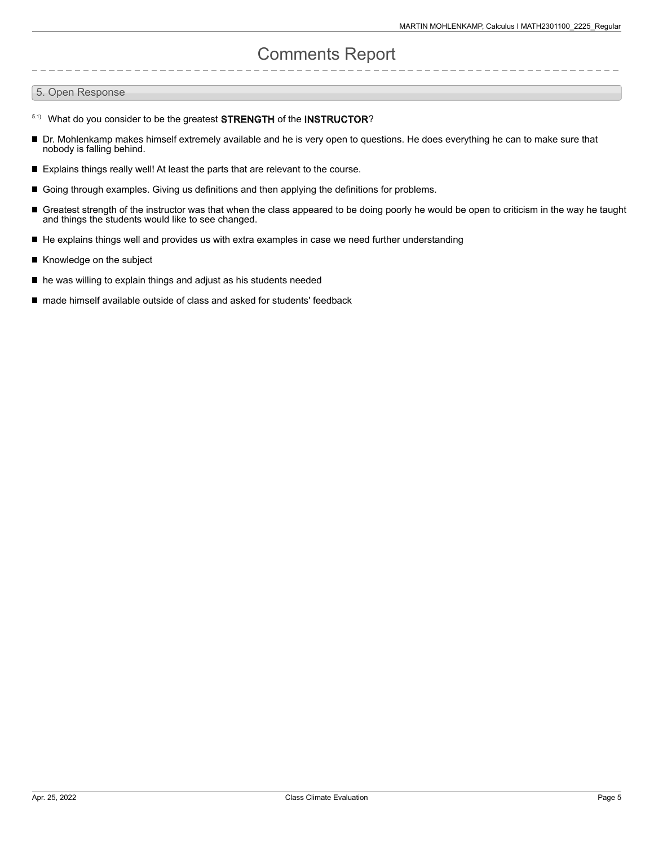# Comments Report

### 5. Open Response

- 5.1) What do you consider to be the greatest STRENGTH of the INSTRUCTOR?
- Dr. Mohlenkamp makes himself extremely available and he is very open to questions. He does everything he can to make sure that nobody is falling behind.
- Explains things really well! At least the parts that are relevant to the course.
- Going through examples. Giving us definitions and then applying the definitions for problems.
- Greatest strength of the instructor was that when the class appeared to be doing poorly he would be open to criticism in the way he taught and things the students would like to see changed.
- He explains things well and provides us with extra examples in case we need further understanding
- Knowledge on the subject  $\blacksquare$
- he was willing to explain things and adjust as his students needed
- made himself available outside of class and asked for students' feedback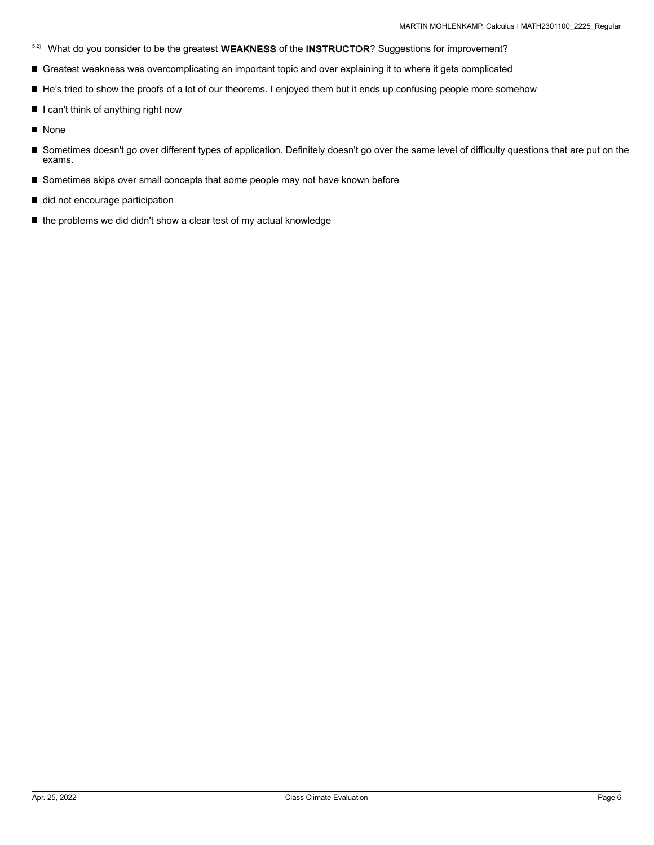- <sup>5.2)</sup> What do you consider to be the greatest WEAKNESS of the INSTRUCTOR? Suggestions for improvement?
- Greatest weakness was overcomplicating an important topic and over explaining it to where it gets complicated
- He's tried to show the proofs of a lot of our theorems. I enjoyed them but it ends up confusing people more somehow
- $\blacksquare$  I can't think of anything right now
- **None**
- Sometimes doesn't go over different types of application. Definitely doesn't go over the same level of difficulty questions that are put on the exams.
- Sometimes skips over small concepts that some people may not have known before
- did not encourage participation
- the problems we did didn't show a clear test of my actual knowledge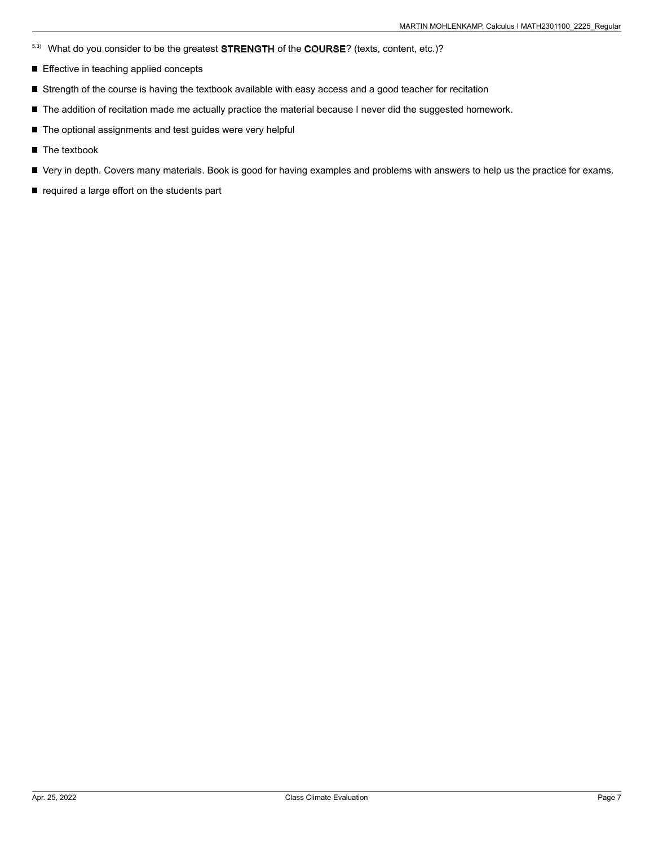- 5.3) What do you consider to be the greatest STRENGTH of the COURSE? (texts, content, etc.)?
- Effective in teaching applied concepts
- Strength of the course is having the textbook available with easy access and a good teacher for recitation
- The addition of recitation made me actually practice the material because I never did the suggested homework.
- The optional assignments and test guides were very helpful
- **The textbook**
- Very in depth. Covers many materials. Book is good for having examples and problems with answers to help us the practice for exams.
- $\blacksquare$  required a large effort on the students part